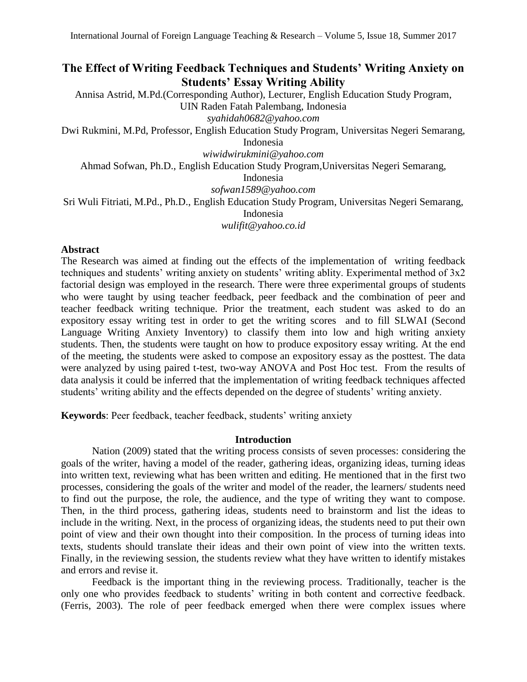# **The Effect of Writing Feedback Techniques and Students' Writing Anxiety on Students' Essay Writing Ability**

Annisa Astrid, M.Pd.(Corresponding Author), Lecturer, English Education Study Program, UIN Raden Fatah Palembang, Indonesia *syahidah0682@yahoo.com*

Dwi Rukmini, M.Pd, Professor, English Education Study Program, Universitas Negeri Semarang, Indonesia

*[wiwidwirukmini@yahoo.com](mailto:wiwidwirukmini@yahoo.com)*

Ahmad Sofwan, Ph.D., English Education Study Program,Universitas Negeri Semarang,

Indonesia

*[sofwan1589@yahoo.com](mailto:sofwan1589@yahoo.com)*

Sri Wuli Fitriati, M.Pd., Ph.D., English Education Study Program, Universitas Negeri Semarang, Indonesia

*[wulifit@yahoo.co.id](mailto:wulifit@yahoo.co.id)*

## **Abstract**

The Research was aimed at finding out the effects of the implementation of writing feedback techniques and students' writing anxiety on students' writing ablity. Experimental method of 3x2 factorial design was employed in the research. There were three experimental groups of students who were taught by using teacher feedback, peer feedback and the combination of peer and teacher feedback writing technique. Prior the treatment, each student was asked to do an expository essay writing test in order to get the writing scores and to fill SLWAI (Second Language Writing Anxiety Inventory) to classify them into low and high writing anxiety students. Then, the students were taught on how to produce expository essay writing. At the end of the meeting, the students were asked to compose an expository essay as the posttest. The data were analyzed by using paired t-test, two-way ANOVA and Post Hoc test. From the results of data analysis it could be inferred that the implementation of writing feedback techniques affected students' writing ability and the effects depended on the degree of students' writing anxiety.

**Keywords**: Peer feedback, teacher feedback, students' writing anxiety

### **Introduction**

Nation (2009) stated that the writing process consists of seven processes: considering the goals of the writer, having a model of the reader, gathering ideas, organizing ideas, turning ideas into written text, reviewing what has been written and editing. He mentioned that in the first two processes, considering the goals of the writer and model of the reader, the learners/ students need to find out the purpose, the role, the audience, and the type of writing they want to compose. Then, in the third process, gathering ideas, students need to brainstorm and list the ideas to include in the writing. Next, in the process of organizing ideas, the students need to put their own point of view and their own thought into their composition. In the process of turning ideas into texts, students should translate their ideas and their own point of view into the written texts. Finally, in the reviewing session, the students review what they have written to identify mistakes and errors and revise it.

Feedback is the important thing in the reviewing process. Traditionally, teacher is the only one who provides feedback to students' writing in both content and corrective feedback. (Ferris, 2003). The role of peer feedback emerged when there were complex issues where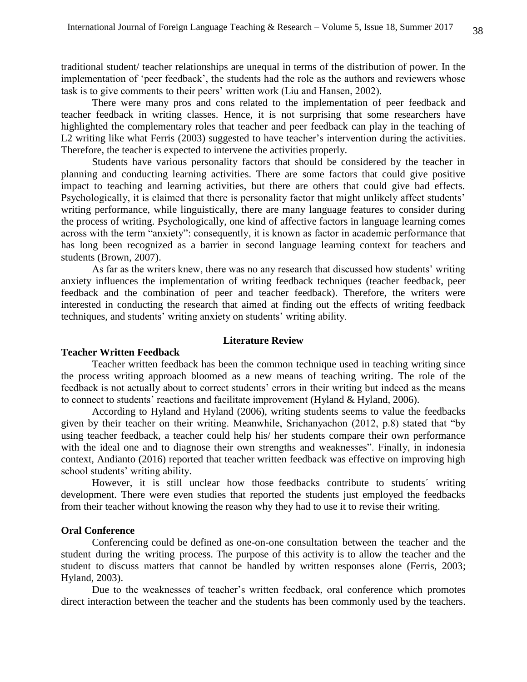traditional student/ teacher relationships are unequal in terms of the distribution of power. In the implementation of 'peer feedback', the students had the role as the authors and reviewers whose task is to give comments to their peers' written work (Liu and Hansen, 2002).

There were many pros and cons related to the implementation of peer feedback and teacher feedback in writing classes. Hence, it is not surprising that some researchers have highlighted the complementary roles that teacher and peer feedback can play in the teaching of L2 writing like what Ferris (2003) suggested to have teacher's intervention during the activities. Therefore, the teacher is expected to intervene the activities properly.

Students have various personality factors that should be considered by the teacher in planning and conducting learning activities. There are some factors that could give positive impact to teaching and learning activities, but there are others that could give bad effects. Psychologically, it is claimed that there is personality factor that might unlikely affect students' writing performance, while linguistically, there are many language features to consider during the process of writing. Psychologically, one kind of affective factors in language learning comes across with the term "anxiety": consequently, it is known as factor in academic performance that has long been recognized as a barrier in second language learning context for teachers and students (Brown, 2007).

As far as the writers knew, there was no any research that discussed how students' writing anxiety influences the implementation of writing feedback techniques (teacher feedback, peer feedback and the combination of peer and teacher feedback). Therefore, the writers were interested in conducting the research that aimed at finding out the effects of writing feedback techniques, and students' writing anxiety on students' writing ability.

## **Literature Review**

#### **Teacher Written Feedback**

Teacher written feedback has been the common technique used in teaching writing since the process writing approach bloomed as a new means of teaching writing. The role of the feedback is not actually about to correct students' errors in their writing but indeed as the means to connect to students' reactions and facilitate improvement (Hyland & Hyland, 2006).

According to Hyland and Hyland (2006), writing students seems to value the feedbacks given by their teacher on their writing. Meanwhile, Srichanyachon (2012, p.8) stated that "by using teacher feedback, a teacher could help his/ her students compare their own performance with the ideal one and to diagnose their own strengths and weaknesses". Finally, in indonesia context, Andianto (2016) reported that teacher written feedback was effective on improving high school students' writing ability.

However, it is still unclear how those feedbacks contribute to students´ writing development. There were even studies that reported the students just employed the feedbacks from their teacher without knowing the reason why they had to use it to revise their writing.

## **Oral Conference**

Conferencing could be defined as one-on-one consultation between the teacher and the student during the writing process. The purpose of this activity is to allow the teacher and the student to discuss matters that cannot be handled by written responses alone (Ferris, 2003; Hyland, 2003).

Due to the weaknesses of teacher's written feedback, oral conference which promotes direct interaction between the teacher and the students has been commonly used by the teachers.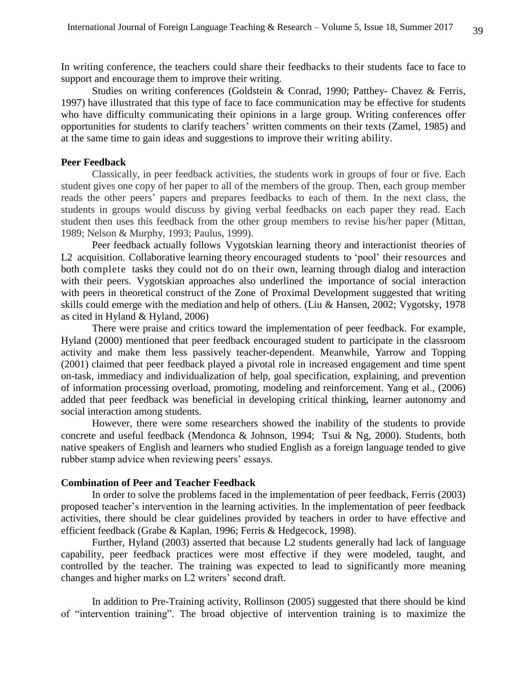In writing conference, the teachers could share their feedbacks to their students face to face to support and encourage them to improve their writing.

Studies on writing conferences (Goldstein & Conrad, 1990; Patthey- Chavez & Ferris, 1997) have illustrated that this type of face to face communication may be effective for students who have difficulty communicating their opinions in a large group. Writing conferences offer opportunities for students to clarify teachers' written comments on their texts (Zamel, 1985) and at the same time to gain ideas and suggestions to improve their writing ability.

### **Peer Feedback**

Classically, in peer feedback activities, the students work in groups of four or five. Each student gives one copy of her paper to all of the members of the group. Then, each group member reads the other peers' papers and prepares feedbacks to each of them. In the next class, the students in groups would discuss by giving verbal feedbacks on each paper they read. Each student then uses this feedback from the other group members to revise his/her paper (Mittan, 1989; Nelson & Murphy, 1993; Paulus, 1999).

Peer feedback actually follows Vygotskian learning theory and interactionist theories of L2 acquisition. Collaborative learning theory encouraged students to 'pool' their resources and both complete tasks they could not do on their own, learning through dialog and interaction with their peers. Vygotskian approaches also underlined the importance of social interaction with peers in theoretical construct of the Zone of Proximal Development suggested that writing skills could emerge with the mediation and help of others. (Liu & Hansen, 2002; Vygotsky, 1978 as cited in Hyland & Hyland, 2006)

There were praise and critics toward the implementation of peer feedback. For example, Hyland (2000) mentioned that peer feedback encouraged student to participate in the classroom activity and make them less passively teacher-dependent. Meanwhile, Yarrow and Topping (2001) claimed that peer feedback played a pivotal role in increased engagement and time spent on-task, immediacy and individualization of help, goal specification, explaining, and prevention of information processing overload, promoting, modeling and reinforcement. Yang et al., (2006) added that peer feedback was beneficial in developing critical thinking, learner autonomy and social interaction among students.

However, there were some researchers showed the inability of the students to provide concrete and useful feedback (Mendonca & Johnson, 1994; Tsui & Ng, 2000). Students, both native speakers of English and learners who studied English as a foreign language tended to give rubber stamp advice when reviewing peers' essays.

## **Combination of Peer and Teacher Feedback**

In order to solve the problems faced in the implementation of peer feedback, Ferris (2003) proposed teacher's intervention in the learning activities. In the implementation of peer feedback activities, there should be clear guidelines provided by teachers in order to have effective and efficient feedback (Grabe & Kaplan, 1996; Ferris & Hedgecock, 1998).

Further, Hyland (2003) asserted that because L2 students generally had lack of language capability, peer feedback practices were most effective if they were modeled, taught, and controlled by the teacher. The training was expected to lead to significantly more meaning changes and higher marks on L2 writers' second draft.

In addition to Pre-Training activity, Rollinson (2005) suggested that there should be kind of "intervention training". The broad objective of intervention training is to maximize the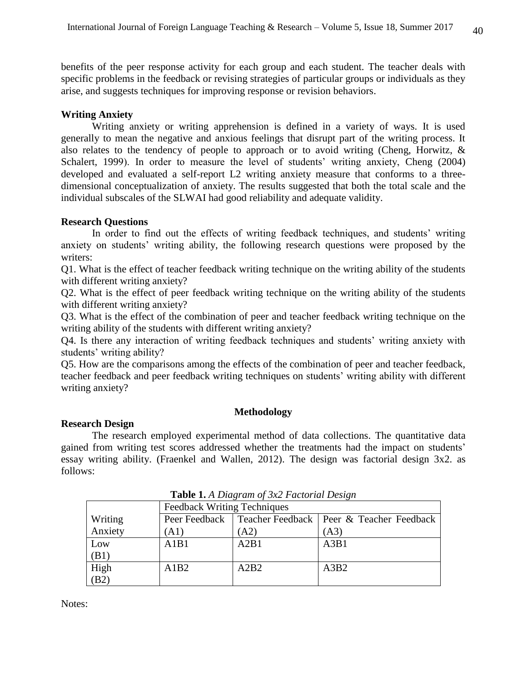benefits of the peer response activity for each group and each student. The teacher deals with specific problems in the feedback or revising strategies of particular groups or individuals as they arise, and suggests techniques for improving response or revision behaviors.

## **Writing Anxiety**

Writing anxiety or writing apprehension is defined in a variety of ways. It is used generally to mean the negative and anxious feelings that disrupt part of the writing process. It also relates to the tendency of people to approach or to avoid writing (Cheng, Horwitz, & Schalert, 1999). In order to measure the level of students' writing anxiety, Cheng (2004) developed and evaluated a self-report L2 writing anxiety measure that conforms to a threedimensional conceptualization of anxiety. The results suggested that both the total scale and the individual subscales of the SLWAI had good reliability and adequate validity.

### **Research Questions**

In order to find out the effects of writing feedback techniques, and students' writing anxiety on students' writing ability, the following research questions were proposed by the writers:

Q1. What is the effect of teacher feedback writing technique on the writing ability of the students with different writing anxiety?

Q2. What is the effect of peer feedback writing technique on the writing ability of the students with different writing anxiety?

Q3. What is the effect of the combination of peer and teacher feedback writing technique on the writing ability of the students with different writing anxiety?

Q4. Is there any interaction of writing feedback techniques and students' writing anxiety with students' writing ability?

Q5. How are the comparisons among the effects of the combination of peer and teacher feedback, teacher feedback and peer feedback writing techniques on students' writing ability with different writing anxiety?

## **Methodology**

### **Research Design**

The research employed experimental method of data collections. The quantitative data gained from writing test scores addressed whether the treatments had the impact on students' essay writing ability. (Fraenkel and Wallen, 2012). The design was factorial design 3x2. as follows:

|         |                                    | <b>Lavic 1.</b> A Diagram of $3\lambda 2$ Paciorial Design |                                            |  |  |  |  |  |  |  |  |  |
|---------|------------------------------------|------------------------------------------------------------|--------------------------------------------|--|--|--|--|--|--|--|--|--|
|         | <b>Feedback Writing Techniques</b> |                                                            |                                            |  |  |  |  |  |  |  |  |  |
| Writing | Peer Feedback                      |                                                            | Teacher Feedback   Peer & Teacher Feedback |  |  |  |  |  |  |  |  |  |
| Anxiety | (A1)                               | (A2)                                                       | (A3)                                       |  |  |  |  |  |  |  |  |  |
| Low     | A1B1                               | A2B1                                                       | A3B1                                       |  |  |  |  |  |  |  |  |  |
| (B1)    |                                    |                                                            |                                            |  |  |  |  |  |  |  |  |  |
| High    | A1B2                               | A2B2                                                       | A3B2                                       |  |  |  |  |  |  |  |  |  |
| (B2)    |                                    |                                                            |                                            |  |  |  |  |  |  |  |  |  |

**Table 1.** *A Diagram of 3x2 Factorial Design*

Notes: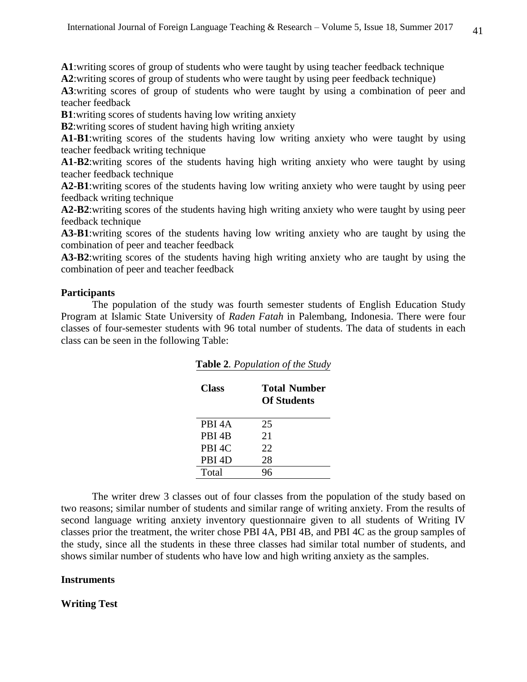**A1**:writing scores of group of students who were taught by using teacher feedback technique **A2**:writing scores of group of students who were taught by using peer feedback technique)

**A3**:writing scores of group of students who were taught by using a combination of peer and teacher feedback

**B1**:writing scores of students having low writing anxiety

**B2**:writing scores of student having high writing anxiety

**A1-B1**:writing scores of the students having low writing anxiety who were taught by using teacher feedback writing technique

**A1-B2**:writing scores of the students having high writing anxiety who were taught by using teacher feedback technique

**A2-B1**:writing scores of the students having low writing anxiety who were taught by using peer feedback writing technique

**A2-B2**:writing scores of the students having high writing anxiety who were taught by using peer feedback technique

**A3-B1**:writing scores of the students having low writing anxiety who are taught by using the combination of peer and teacher feedback

**A3-B2**:writing scores of the students having high writing anxiety who are taught by using the combination of peer and teacher feedback

### **Participants**

The population of the study was fourth semester students of English Education Study Program at Islamic State University of *Raden Fatah* in Palembang, Indonesia. There were four classes of four-semester students with 96 total number of students. The data of students in each class can be seen in the following Table:

| Class              | <b>Total Number</b><br><b>Of Students</b> |
|--------------------|-------------------------------------------|
| PBI <sub>4</sub> A | 25                                        |
| PBI <sub>4</sub> B | 21                                        |
| PBI <sub>4C</sub>  | 22.                                       |
| PBI <sub>4</sub> D | 28                                        |
| Total              |                                           |

**Table 2***. Population of the Study*

The writer drew 3 classes out of four classes from the population of the study based on two reasons; similar number of students and similar range of writing anxiety. From the results of second language writing anxiety inventory questionnaire given to all students of Writing IV classes prior the treatment, the writer chose PBI 4A, PBI 4B, and PBI 4C as the group samples of the study, since all the students in these three classes had similar total number of students, and shows similar number of students who have low and high writing anxiety as the samples.

## **Instruments**

**Writing Test**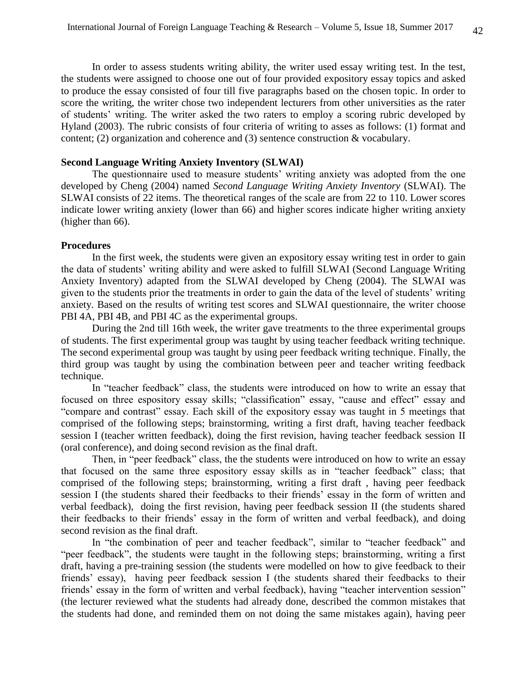In order to assess students writing ability, the writer used essay writing test. In the test, the students were assigned to choose one out of four provided expository essay topics and asked to produce the essay consisted of four till five paragraphs based on the chosen topic. In order to score the writing, the writer chose two independent lecturers from other universities as the rater of students' writing. The writer asked the two raters to employ a scoring rubric developed by Hyland (2003). The rubric consists of four criteria of writing to asses as follows: (1) format and content; (2) organization and coherence and (3) sentence construction & vocabulary.

## **Second Language Writing Anxiety Inventory (SLWAI)**

The questionnaire used to measure students' writing anxiety was adopted from the one developed by Cheng (2004) named *Second Language Writing Anxiety Inventory* (SLWAI). The SLWAI consists of 22 items. The theoretical ranges of the scale are from 22 to 110. Lower scores indicate lower writing anxiety (lower than 66) and higher scores indicate higher writing anxiety (higher than 66).

#### **Procedures**

In the first week, the students were given an expository essay writing test in order to gain the data of students' writing ability and were asked to fulfill SLWAI (Second Language Writing Anxiety Inventory) adapted from the SLWAI developed by Cheng (2004). The SLWAI was given to the students prior the treatments in order to gain the data of the level of students' writing anxiety. Based on the results of writing test scores and SLWAI questionnaire, the writer choose PBI 4A, PBI 4B, and PBI 4C as the experimental groups.

During the 2nd till 16th week, the writer gave treatments to the three experimental groups of students. The first experimental group was taught by using teacher feedback writing technique. The second experimental group was taught by using peer feedback writing technique. Finally, the third group was taught by using the combination between peer and teacher writing feedback technique.

In "teacher feedback" class, the students were introduced on how to write an essay that focused on three espository essay skills; "classification" essay, "cause and effect" essay and "compare and contrast" essay. Each skill of the expository essay was taught in 5 meetings that comprised of the following steps; brainstorming, writing a first draft, having teacher feedback session I (teacher written feedback), doing the first revision, having teacher feedback session II (oral conference), and doing second revision as the final draft.

Then, in "peer feedback" class, the the students were introduced on how to write an essay that focused on the same three espository essay skills as in "teacher feedback" class; that comprised of the following steps; brainstorming, writing a first draft , having peer feedback session I (the students shared their feedbacks to their friends' essay in the form of written and verbal feedback), doing the first revision, having peer feedback session II (the students shared their feedbacks to their friends' essay in the form of written and verbal feedback), and doing second revision as the final draft.

In "the combination of peer and teacher feedback", similar to "teacher feedback" and "peer feedback", the students were taught in the following steps; brainstorming, writing a first draft, having a pre-training session (the students were modelled on how to give feedback to their friends' essay), having peer feedback session I (the students shared their feedbacks to their friends' essay in the form of written and verbal feedback), having "teacher intervention session" (the lecturer reviewed what the students had already done, described the common mistakes that the students had done, and reminded them on not doing the same mistakes again), having peer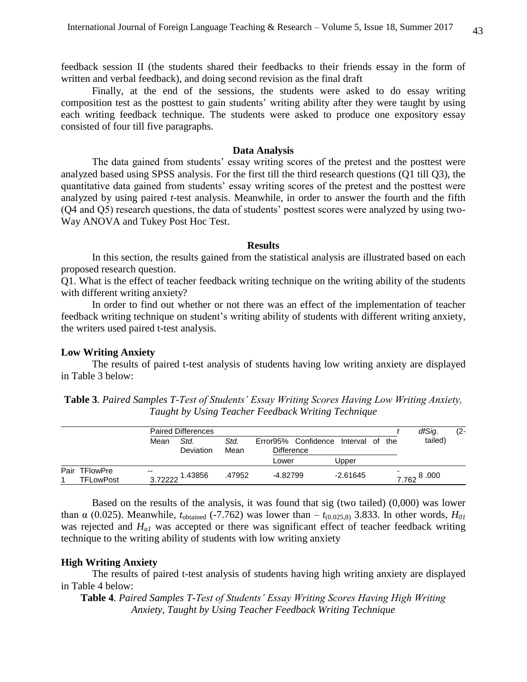feedback session II (the students shared their feedbacks to their friends essay in the form of written and verbal feedback), and doing second revision as the final draft

Finally, at the end of the sessions, the students were asked to do essay writing composition test as the posttest to gain students' writing ability after they were taught by using each writing feedback technique. The students were asked to produce one expository essay consisted of four till five paragraphs.

#### **Data Analysis**

The data gained from students' essay writing scores of the pretest and the posttest were analyzed based using SPSS analysis. For the first till the third research questions (Q1 till Q3), the quantitative data gained from students' essay writing scores of the pretest and the posttest were analyzed by using paired *t*-test analysis. Meanwhile, in order to answer the fourth and the fifth (Q4 and Q5) research questions, the data of students' posttest scores were analyzed by using two-Way ANOVA and Tukey Post Hoc Test.

#### **Results**

In this section, the results gained from the statistical analysis are illustrated based on each proposed research question.

Q1. What is the effect of teacher feedback writing technique on the writing ability of the students with different writing anxiety?

In order to find out whether or not there was an effect of the implementation of teacher feedback writing technique on student's writing ability of students with different writing anxiety, the writers used paired t-test analysis.

#### **Low Writing Anxiety**

The results of paired t-test analysis of students having low writing anxiety are displayed in Table 3 below:

| Table 3. Paired Samples T-Test of Students' Essay Writing Scores Having Low Writing Anxiety, |  |
|----------------------------------------------------------------------------------------------|--|
| Taught by Using Teacher Feedback Writing Technique                                           |  |

|                                      |                  | <b>Paired Differences</b> |              |                                          |                    |  |                     |  |  |
|--------------------------------------|------------------|---------------------------|--------------|------------------------------------------|--------------------|--|---------------------|--|--|
|                                      | Mean             | Std.<br>Deviation         | Std.<br>Mean | Error95% Confidence<br><b>Difference</b> | Interval of<br>the |  | tailed)             |  |  |
|                                      |                  |                           |              | Lower                                    | Upper              |  |                     |  |  |
| Pair<br><b>TFlowPre</b><br>TFLowPost | $- -$<br>3.72222 | 1.43856                   | .47952       | -4.82799                                 | $-2.61645$         |  | -<br>8.000<br>7.762 |  |  |

Based on the results of the analysis, it was found that sig (two tailed) (0,000) was lower than  $\alpha$  (0.025). Meanwhile,  $t_{\text{obtained}}$  (-7.762) was lower than  $-t_{(0.025,8)}$  3.833. In other words,  $H_{01}$ was rejected and *Ha1* was accepted or there was significant effect of teacher feedback writing technique to the writing ability of students with low writing anxiety

#### **High Writing Anxiety**

The results of paired t-test analysis of students having high writing anxiety are displayed in Table 4 below:

**Table 4***. Paired Samples T-Test of Students' Essay Writing Scores Having High Writing Anxiety, Taught by Using Teacher Feedback Writing Technique*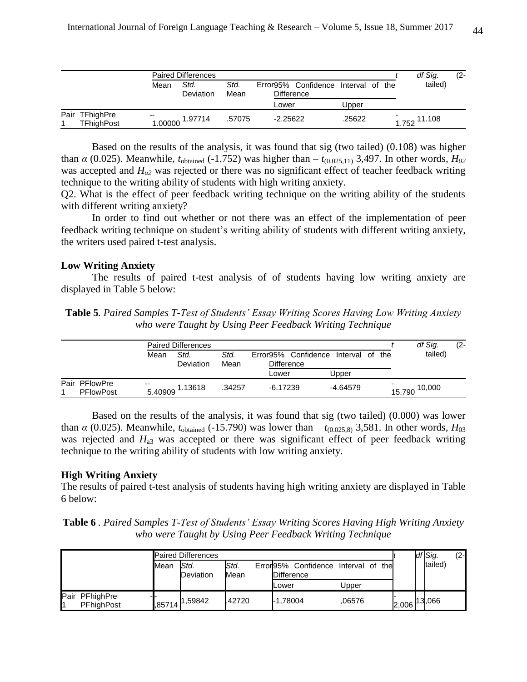|                                     |                           | <b>Paired Differences</b> |              |                                                          |        |  |       | df Sig. | (2- |
|-------------------------------------|---------------------------|---------------------------|--------------|----------------------------------------------------------|--------|--|-------|---------|-----|
|                                     | Std.<br>Mean<br>Deviation |                           | Std.<br>Mean | Error95% Confidence Interval of the<br><b>Difference</b> |        |  |       | tailed) |     |
|                                     |                           |                           |              | Lower                                                    | Upper  |  |       |         |     |
| Pair TFhighPre<br><b>TFhighPost</b> | $-$<br>1.00000            | 1.97714                   | .57075       | $-2.25622$                                               | .25622 |  | 1.752 | 11.108  |     |

Based on the results of the analysis, it was found that sig (two tailed) (0.108) was higher than  $\alpha$  (0.025). Meanwhile,  $t_{\text{obtained}}$  (-1.752) was higher than  $-t_{(0.025,11)}$  3,497. In other words,  $H_{02}$ was accepted and  $H_{a2}$  was rejected or there was no significant effect of teacher feedback writing technique to the writing ability of students with high writing anxiety.

Q2. What is the effect of peer feedback writing technique on the writing ability of the students with different writing anxiety?

In order to find out whether or not there was an effect of the implementation of peer feedback writing technique on student's writing ability of students with different writing anxiety, the writers used paired t-test analysis.

### **Low Writing Anxiety**

The results of paired t-test analysis of of students having low writing anxiety are displayed in Table 5 below:

| <b>Table 5.</b> Paired Samples T-Test of Students' Essay Writing Scores Having Low Writing Anxiety |  |
|----------------------------------------------------------------------------------------------------|--|
| who were Taught by Using Peer Feedback Writing Technique                                           |  |

|                                   |                                  | <b>Paired Differences</b> |              |                                                          |  |            |  | df Sig.          | (2- |
|-----------------------------------|----------------------------------|---------------------------|--------------|----------------------------------------------------------|--|------------|--|------------------|-----|
|                                   | Std.<br>Mean<br><b>Deviation</b> |                           | Std.<br>Mean | Error95% Confidence Interval of the<br><b>Difference</b> |  |            |  | tailed)          |     |
|                                   |                                  |                           |              | ∟ower                                                    |  | Upper      |  |                  |     |
| Pair PFlowPre<br><b>PFlowPost</b> | $- -$<br>5.40909                 | 1.13618                   | .34257       | $-6.17239$                                               |  | $-4.64579$ |  | 10,000<br>15.790 |     |

Based on the results of the analysis, it was found that sig (two tailed) (0.000) was lower than *α* (0.025). Meanwhile,  $t_{obtained}$  (-15.790) was lower than –  $t_{(0.025.8)}$  3,581. In other words,  $H_{03}$ was rejected and  $H_{a3}$  was accepted or there was significant effect of peer feedback writing technique to the writing ability of students with low writing anxiety.

#### **High Writing Anxiety**

The results of paired t-test analysis of students having high writing anxiety are displayed in Table 6 below:

|  |  | <b>Table 6</b> . Paired Samples T-Test of Students' Essay Writing Scores Having High Writing Anxiety |  |  |  |  |
|--|--|------------------------------------------------------------------------------------------------------|--|--|--|--|
|  |  | who were Taught by Using Peer Feedback Writing Technique                                             |  |  |  |  |

|      |                                |      | <b>Paired Differences</b>    |              |                   |                                 |        |     |       | df Sig. | $(2 -$ |
|------|--------------------------------|------|------------------------------|--------------|-------------------|---------------------------------|--------|-----|-------|---------|--------|
|      |                                | Mean | Std.<br>Deviation            | Std.<br>Mean | <b>Difference</b> | Error95% Confidence Interval of |        | the |       | tailed) |        |
|      |                                |      |                              |              | Lower             |                                 | Upper  |     |       |         |        |
| Pair | PFhighPre<br><b>PFhighPost</b> |      | $1,85714$ <sup>1,59842</sup> | .42720       | -1.78004          |                                 | .06576 |     | 2,006 | 13,066  |        |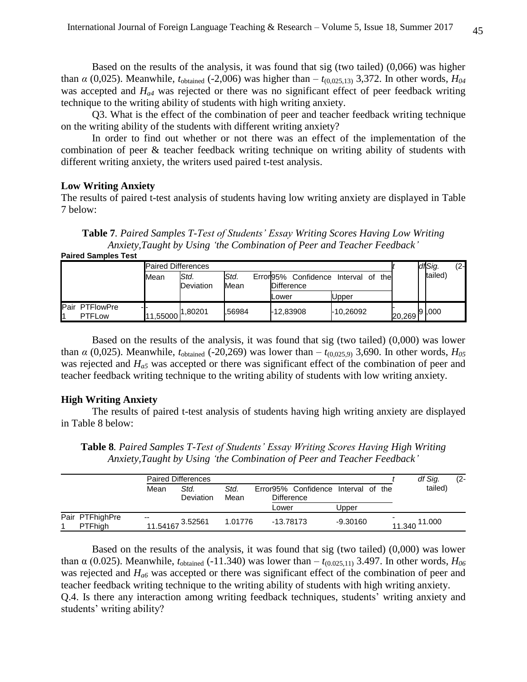Based on the results of the analysis, it was found that sig (two tailed) (0,066) was higher than  $\alpha$  (0,025). Meanwhile,  $t_{\text{obtained}}$  (-2,006) was higher than  $-t_{(0,025,13)}$  3,372. In other words,  $H_{04}$ was accepted and *Ha4* was rejected or there was no significant effect of peer feedback writing technique to the writing ability of students with high writing anxiety.

Q3. What is the effect of the combination of peer and teacher feedback writing technique on the writing ability of the students with different writing anxiety?

In order to find out whether or not there was an effect of the implementation of the combination of peer & teacher feedback writing technique on writing ability of students with different writing anxiety, the writers used paired t-test analysis.

#### **Low Writing Anxiety**

The results of paired t-test analysis of students having low writing anxiety are displayed in Table 7 below:

**Table 7***. Paired Samples T-Test of Students' Essay Writing Scores Having Low Writing Anxiety,Taught by Using 'the Combination of Peer and Teacher Feedback'*

**Paired Samples Test**

|                                                           | <b>Paired Differences</b> |                                      |              |                                                                   |           |  | df Sig.       | $(2 -$ |
|-----------------------------------------------------------|---------------------------|--------------------------------------|--------------|-------------------------------------------------------------------|-----------|--|---------------|--------|
|                                                           | Mean                      | IStd.<br>Deviation                   | Std.<br>Mean | Confidence<br>Error95%<br>the<br>Interval of<br><b>Difference</b> |           |  | tailed)       |        |
|                                                           |                           |                                      |              | Lower                                                             | Upper     |  |               |        |
| <b>I</b> Pair<br><b>PTFlowPre</b><br>- 1<br><b>PTFLow</b> |                           | 11,5 <u>50</u> 00 <sup>1,80201</sup> | .56984       | -12.83908                                                         | -10.26092 |  | 20,269 9 ,000 |        |

Based on the results of the analysis, it was found that sig (two tailed) (0,000) was lower than  $\alpha$  (0,025). Meanwhile,  $t_{\text{obtained}}$  (-20,269) was lower than  $-t_{(0,025,9)}$  3,690. In other words,  $H_{05}$ was rejected and *Ha5* was accepted or there was significant effect of the combination of peer and teacher feedback writing technique to the writing ability of students with low writing anxiety.

#### **High Writing Anxiety**

The results of paired t-test analysis of students having high writing anxiety are displayed in Table 8 below:

**Table 8***. Paired Samples T-Test of Students' Essay Writing Scores Having High Writing Anxiety,Taught by Using 'the Combination of Peer and Teacher Feedback'*

|                                   |       | <b>Paired Differences</b>            |         |                                                          |            | df Sig.          | $(2 -$ |
|-----------------------------------|-------|--------------------------------------|---------|----------------------------------------------------------|------------|------------------|--------|
|                                   | Mean  | Std.<br>Std.<br>Deviation<br>Mean    |         | Error95% Confidence Interval of the<br><b>Difference</b> |            | tailed)          |        |
|                                   |       |                                      |         | Lower                                                    |            |                  |        |
| Pair PTFhighPre<br><b>PTFhigh</b> | $- -$ | 11.5 <u>4</u> 167 <sup>3.52561</sup> | 1.01776 | -13.78173                                                | $-9.30160$ | 11.000<br>11.340 |        |

Based on the results of the analysis, it was found that sig (two tailed) (0,000) was lower than α (0.025). Meanwhile,  $t_{\text{obtained}}$  (-11.340) was lower than  $-t_{(0.025,11)}$  3.497. In other words,  $H_{06}$ was rejected and *Ha6* was accepted or there was significant effect of the combination of peer and teacher feedback writing technique to the writing ability of students with high writing anxiety. Q.4. Is there any interaction among writing feedback techniques, students' writing anxiety and students' writing ability?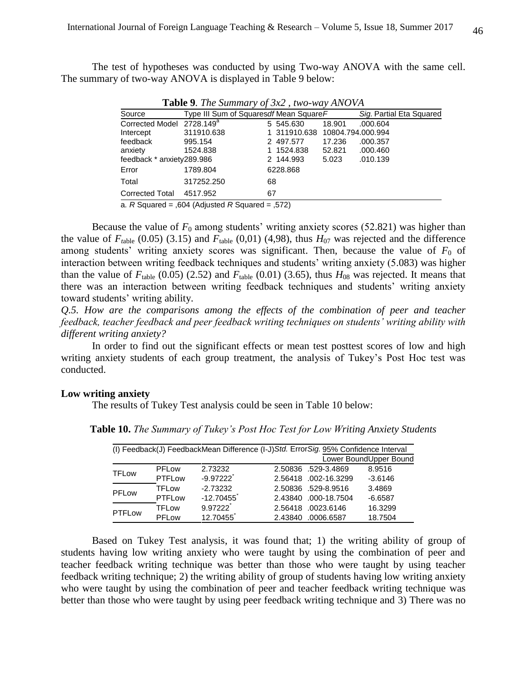The test of hypotheses was conducted by using Two-way ANOVA with the same cell. The summary of two-way ANOVA is displayed in Table 9 below:

|                                       |            | <b>Table</b> 2. The Bundletty of $3\pi/2$ , the way through |        |                          |  |
|---------------------------------------|------------|-------------------------------------------------------------|--------|--------------------------|--|
| Source                                |            | Type III Sum of Squaresdf Mean Square F                     |        | Sig. Partial Eta Squared |  |
| Corrected Model 2728.149 <sup>a</sup> |            | 5 545.630                                                   | 18.901 | .000.604                 |  |
| Intercept                             | 311910.638 | 1 311910.638 10804.794.000.994                              |        |                          |  |
| feedback                              | 995.154    | 2 497.577                                                   | 17.236 | .000.357                 |  |
| anxiety                               | 1524.838   | 1 1524.838                                                  | 52.821 | .000.460                 |  |
| feedback * anxiety289.986             |            | 2 144.993                                                   | 5.023  | .010.139                 |  |
| Error                                 | 1789.804   | 6228.868                                                    |        |                          |  |
| Total                                 | 317252.250 | 68                                                          |        |                          |  |
| <b>Corrected Total</b>                | 4517.952   | 67                                                          |        |                          |  |

**Table 9***. The Summary of 3x2 , two-way ANOVA*

a*. R* Squared = ,604 (Adjusted *R* Squared = ,572)

Because the value of  $F_0$  among students' writing anxiety scores (52.821) was higher than the value of  $F_{table}$  (0.05) (3.15) and  $F_{table}$  (0,01) (4,98), thus  $H_{07}$  was rejected and the difference among students' writing anxiety scores was significant. Then, because the value of  $F_0$  of interaction between writing feedback techniques and students' writing anxiety (5.083) was higher than the value of  $F_{\text{table}}$  (0.05) (2.52) and  $F_{\text{table}}$  (0.01) (3.65), thus  $H_{08}$  was rejected. It means that there was an interaction between writing feedback techniques and students' writing anxiety toward students' writing ability.

*Q.5. How are the comparisons among the effects of the combination of peer and teacher feedback, teacher feedback and peer feedback writing techniques on students' writing ability with different writing anxiety?*

In order to find out the significant effects or mean test posttest scores of low and high writing anxiety students of each group treatment, the analysis of Tukey's Post Hoc test was conducted.

#### **Low writing anxiety**

The results of Tukey Test analysis could be seen in Table 10 below:

| (I) Feedback(J) FeedbackMean Difference (I-J) Std. Error Sig. 95% Confidence Interval |              |             |                                   |  |  |  |  |
|---------------------------------------------------------------------------------------|--------------|-------------|-----------------------------------|--|--|--|--|
| Lower BoundUpper Bound                                                                |              |             |                                   |  |  |  |  |
| <b>TFLow</b>                                                                          | PFLow        | 2.73232     | 8.9516<br>2.50836 .529-3.4869     |  |  |  |  |
|                                                                                       | PTFLow       | $-9.97222$  | 2.56418 .002-16.3299<br>$-3.6146$ |  |  |  |  |
| PFLow                                                                                 | <b>TFLow</b> | $-2.73232$  | 2.50836 .529-8.9516<br>3.4869     |  |  |  |  |
|                                                                                       | PTFLow       | $-12.70455$ | 2.43840 .000-18.7504<br>$-6.6587$ |  |  |  |  |
| <b>PTFLow</b>                                                                         | <b>TFLow</b> | 9.97222     | 2.56418 .0023.6146<br>16.3299     |  |  |  |  |
|                                                                                       | PFLow        | 12.70455    | 18.7504<br>.0006.6587<br>2.43840  |  |  |  |  |

**Table 10.** *The Summary of Tukey's Post Hoc Test for Low Writing Anxiety Students*

Based on Tukey Test analysis, it was found that; 1) the writing ability of group of students having low writing anxiety who were taught by using the combination of peer and teacher feedback writing technique was better than those who were taught by using teacher feedback writing technique; 2) the writing ability of group of students having low writing anxiety who were taught by using the combination of peer and teacher feedback writing technique was better than those who were taught by using peer feedback writing technique and 3) There was no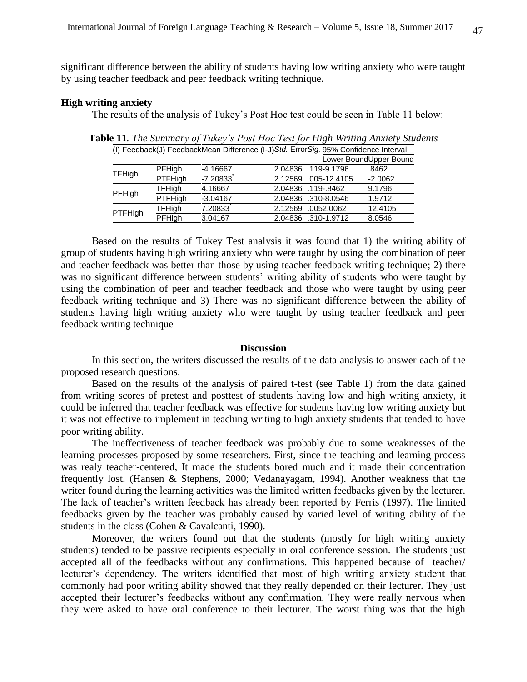significant difference between the ability of students having low writing anxiety who were taught by using teacher feedback and peer feedback writing technique.

### **High writing anxiety**

The results of the analysis of Tukey's Post Hoc test could be seen in Table 11 below:

| (I) Feedback(J) FeedbackMean Difference (I-J) Std. Error Sig. 95% Confidence Interval |            |                       |                        |  |  |  |
|---------------------------------------------------------------------------------------|------------|-----------------------|------------------------|--|--|--|
|                                                                                       |            |                       | Lower BoundUpper Bound |  |  |  |
| PFHigh                                                                                | $-4.16667$ | 2.04836 .119-9.1796   | .8462                  |  |  |  |
| <b>PTFHigh</b>                                                                        | $-7.20833$ | 2.12569 .005-12.4105  | $-2.0062$              |  |  |  |
| <b>TFHigh</b>                                                                         | 4.16667    | 2.04836 .119-.8462    | 9.1796                 |  |  |  |
| PTFHigh                                                                               | $-3.04167$ | 2.04836 .310-8.0546   | 1.9712                 |  |  |  |
| <b>TFHigh</b>                                                                         | 7.20833    | .0052.0062<br>2.12569 | 12.4105                |  |  |  |
| PFHigh                                                                                | 3.04167    | 2.04836 .310-1.9712   | 8.0546                 |  |  |  |
|                                                                                       |            |                       |                        |  |  |  |

**Table 11***. The Summary of Tukey's Post Hoc Test for High Writing Anxiety Students*

Based on the results of Tukey Test analysis it was found that 1) the writing ability of group of students having high writing anxiety who were taught by using the combination of peer and teacher feedback was better than those by using teacher feedback writing technique; 2) there was no significant difference between students' writing ability of students who were taught by using the combination of peer and teacher feedback and those who were taught by using peer feedback writing technique and 3) There was no significant difference between the ability of students having high writing anxiety who were taught by using teacher feedback and peer feedback writing technique

#### **Discussion**

In this section, the writers discussed the results of the data analysis to answer each of the proposed research questions.

Based on the results of the analysis of paired t-test (see Table 1) from the data gained from writing scores of pretest and posttest of students having low and high writing anxiety, it could be inferred that teacher feedback was effective for students having low writing anxiety but it was not effective to implement in teaching writing to high anxiety students that tended to have poor writing ability.

The ineffectiveness of teacher feedback was probably due to some weaknesses of the learning processes proposed by some researchers. First, since the teaching and learning process was realy teacher-centered, It made the students bored much and it made their concentration frequently lost. (Hansen & Stephens, 2000; Vedanayagam, 1994). Another weakness that the writer found during the learning activities was the limited written feedbacks given by the lecturer. The lack of teacher's written feedback has already been reported by Ferris (1997). The limited feedbacks given by the teacher was probably caused by varied level of writing ability of the students in the class (Cohen & Cavalcanti, 1990).

Moreover, the writers found out that the students (mostly for high writing anxiety students) tended to be passive recipients especially in oral conference session. The students just accepted all of the feedbacks without any confirmations. This happened because of teacher/ lecturer's dependency. The writers identified that most of high writing anxiety student that commonly had poor writing ability showed that they really depended on their lecturer. They just accepted their lecturer's feedbacks without any confirmation. They were really nervous when they were asked to have oral conference to their lecturer. The worst thing was that the high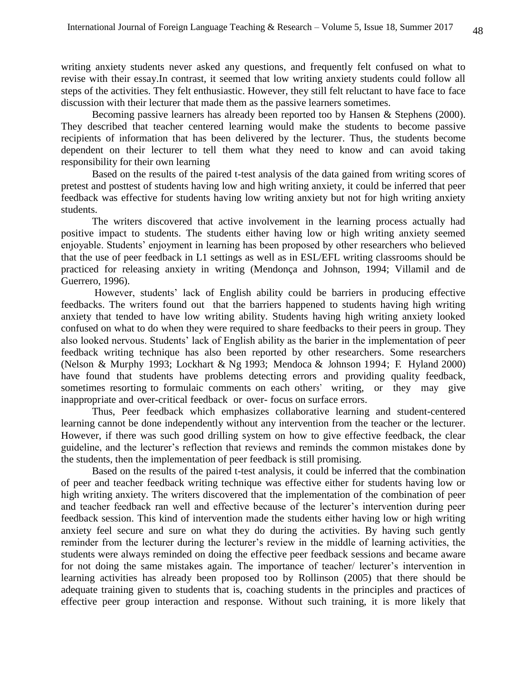writing anxiety students never asked any questions, and frequently felt confused on what to revise with their essay.In contrast, it seemed that low writing anxiety students could follow all steps of the activities. They felt enthusiastic. However, they still felt reluctant to have face to face discussion with their lecturer that made them as the passive learners sometimes.

Becoming passive learners has already been reported too by Hansen & Stephens (2000). They described that teacher centered learning would make the students to become passive recipients of information that has been delivered by the lecturer. Thus, the students become dependent on their lecturer to tell them what they need to know and can avoid taking responsibility for their own learning

Based on the results of the paired t-test analysis of the data gained from writing scores of pretest and posttest of students having low and high writing anxiety, it could be inferred that peer feedback was effective for students having low writing anxiety but not for high writing anxiety students.

 The writers discovered that active involvement in the learning process actually had positive impact to students. The students either having low or high writing anxiety seemed enjoyable. Students' enjoyment in learning has been proposed by other researchers who believed that the use of peer feedback in L1 settings as well as in ESL/EFL writing classrooms should be practiced for releasing anxiety in writing (Mendonça and Johnson, 1994; Villamil and de Guerrero, 1996).

 However, students' lack of English ability could be barriers in producing effective feedbacks. The writers found out that the barriers happened to students having high writing anxiety that tended to have low writing ability. Students having high writing anxiety looked confused on what to do when they were required to share feedbacks to their peers in group. They also looked nervous. Students' lack of English ability as the barier in the implementation of peer feedback writing technique has also been reported by other researchers. Some researchers (Nelson & Murphy 1993; Lockhart & Ng 1993; Mendoca & Johnson 1994; F. Hyland 2000) have found that students have problems detecting errors and providing quality feedback, sometimes resorting to formulaic comments on each others' writing, or they may give inappropriate and over-critical feedback or over- focus on surface errors.

 Thus, Peer feedback which emphasizes collaborative learning and student-centered learning cannot be done independently without any intervention from the teacher or the lecturer. However, if there was such good drilling system on how to give effective feedback, the clear guideline, and the lecturer's reflection that reviews and reminds the common mistakes done by the students, then the implementation of peer feedback is still promising.

 Based on the results of the paired t-test analysis, it could be inferred that the combination of peer and teacher feedback writing technique was effective either for students having low or high writing anxiety. The writers discovered that the implementation of the combination of peer and teacher feedback ran well and effective because of the lecturer's intervention during peer feedback session. This kind of intervention made the students either having low or high writing anxiety feel secure and sure on what they do during the activities. By having such gently reminder from the lecturer during the lecturer's review in the middle of learning activities, the students were always reminded on doing the effective peer feedback sessions and became aware for not doing the same mistakes again. The importance of teacher/ lecturer's intervention in learning activities has already been proposed too by Rollinson (2005) that there should be adequate training given to students that is, coaching students in the principles and practices of effective peer group interaction and response. Without such training, it is more likely that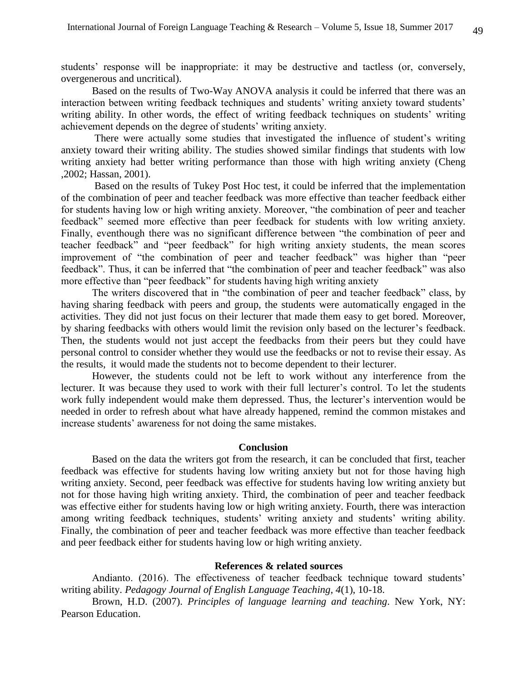students' response will be inappropriate: it may be destructive and tactless (or, conversely, overgenerous and uncritical).

Based on the results of Two-Way ANOVA analysis it could be inferred that there was an interaction between writing feedback techniques and students' writing anxiety toward students' writing ability. In other words, the effect of writing feedback techniques on students' writing achievement depends on the degree of students' writing anxiety.

 There were actually some studies that investigated the influence of student's writing anxiety toward their writing ability. The studies showed similar findings that students with low writing anxiety had better writing performance than those with high writing anxiety (Cheng ,2002; Hassan, 2001).

 Based on the results of Tukey Post Hoc test, it could be inferred that the implementation of the combination of peer and teacher feedback was more effective than teacher feedback either for students having low or high writing anxiety. Moreover, "the combination of peer and teacher feedback" seemed more effective than peer feedback for students with low writing anxiety. Finally, eventhough there was no significant difference between "the combination of peer and teacher feedback" and "peer feedback" for high writing anxiety students, the mean scores improvement of "the combination of peer and teacher feedback" was higher than "peer feedback". Thus, it can be inferred that "the combination of peer and teacher feedback" was also more effective than "peer feedback" for students having high writing anxiety

 The writers discovered that in "the combination of peer and teacher feedback" class, by having sharing feedback with peers and group, the students were automatically engaged in the activities. They did not just focus on their lecturer that made them easy to get bored. Moreover, by sharing feedbacks with others would limit the revision only based on the lecturer's feedback. Then, the students would not just accept the feedbacks from their peers but they could have personal control to consider whether they would use the feedbacks or not to revise their essay. As the results, it would made the students not to become dependent to their lecturer.

 However, the students could not be left to work without any interference from the lecturer. It was because they used to work with their full lecturer's control. To let the students work fully independent would make them depressed. Thus, the lecturer's intervention would be needed in order to refresh about what have already happened, remind the common mistakes and increase students' awareness for not doing the same mistakes.

### **Conclusion**

 Based on the data the writers got from the research, it can be concluded that first, teacher feedback was effective for students having low writing anxiety but not for those having high writing anxiety. Second, peer feedback was effective for students having low writing anxiety but not for those having high writing anxiety. Third, the combination of peer and teacher feedback was effective either for students having low or high writing anxiety. Fourth, there was interaction among writing feedback techniques, students' writing anxiety and students' writing ability. Finally, the combination of peer and teacher feedback was more effective than teacher feedback and peer feedback either for students having low or high writing anxiety.

### **References & related sources**

Andianto. (2016). The effectiveness of teacher feedback technique toward students' writing ability. *Pedagogy Journal of English Language Teaching*, *4*(1), 10-18.

Brown, H.D. (2007). *Principles of language learning and teaching*. New York, NY: Pearson Education.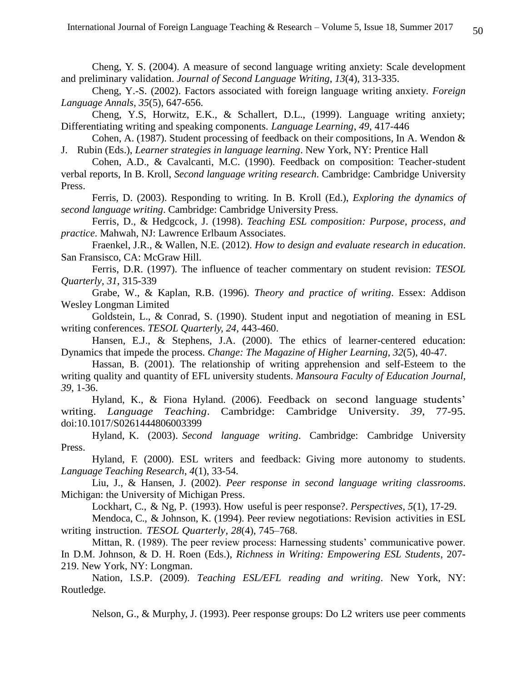Cheng, Y. S. (2004). A measure of second language writing anxiety: Scale development and preliminary validation. *Journal of Second Language Writing*, *13*(4), 313-335.

Cheng, Y.-S. (2002). Factors associated with foreign language writing anxiety. *Foreign Language Annals, 35*(5), 647-656.

Cheng, Y.S, Horwitz, E.K., & Schallert, D.L., (1999). Language writing anxiety; Differentiating writing and speaking components. *Language Learning*, *49*, 417-446

Cohen, A. (1987). Student processing of feedback on their compositions, In A. Wendon & J. Rubin (Eds.), *Learner strategies in language learning*. New York, NY: Prentice Hall

Cohen, A.D., & Cavalcanti, M.C. (1990). Feedback on composition: Teacher-student verbal reports, In B. Kroll, *Second language writing research*. Cambridge: Cambridge University Press.

Ferris, D. (2003). Responding to writing. In B. Kroll (Ed.), *Exploring the dynamics of second language writing*. Cambridge: Cambridge University Press.

Ferris, D., & Hedgcock, J. (1998). *Teaching ESL composition: Purpose, process, and practice*. Mahwah, NJ: Lawrence Erlbaum Associates.

Fraenkel, J.R., & Wallen, N.E. (2012). *How to design and evaluate research in education*. San Fransisco, CA: McGraw Hill.

Ferris, D.R. (1997). The influence of teacher commentary on student revision: *TESOL Quarterly, 31*, 315-339

Grabe, W., & Kaplan, R.B. (1996). *Theory and practice of writing*. Essex: Addison Wesley Longman Limited

Goldstein, L., & Conrad, S. (1990). Student input and negotiation of meaning in ESL writing conferences. *TESOL Quarterly, 24*, 443-460.

Hansen, E.J., & Stephens, J.A. (2000). The ethics of learner-centered education: Dynamics that impede the process*. Change: The Magazine of Higher Learning*, *32*(5), 40-47.

Hassan, B. (2001). The relationship of writing apprehension and self-Esteem to the writing quality and quantity of EFL university students. *Mansoura Faculty of Education Journal, 39*, 1-36.

Hyland, K., & Fiona Hyland. (2006). Feedback on second language students' writing. *Language Teaching*. Cambridge: Cambridge University. *39*, 77-95. doi:10.1017/S0261444806003399

Hyland, K. (2003). *Second language writing*. Cambridge: Cambridge University Press.

Hyland, F. (2000). ESL writers and feedback: Giving more autonomy to students. *Language Teaching Research*, *4*(1), 33-54.

Liu, J., & Hansen, J. (2002). *Peer response in second language writing classrooms*. Michigan: the University of Michigan Press.

Lockhart, C., & Ng, P. (1993). How useful is peer response?. *Perspectives*, *5*(1), 17-29.

Mendoca, C., & Johnson, K. (1994). Peer review negotiations: Revision activities in ESL writing instruction. *TESOL Quarterly, 28*(4), 745–768.

Mittan, R. (1989). The peer review process: Harnessing students' communicative power. In D.M. Johnson, & D. H. Roen (Eds.), *Richness in Writing: Empowering ESL Students*, 207- 219. New York, NY: Longman.

Nation, I.S.P. (2009). *Teaching ESL/EFL reading and writing*. New York, NY: Routledge.

Nelson, G., & Murphy, J. (1993). Peer response groups: Do L2 writers use peer comments